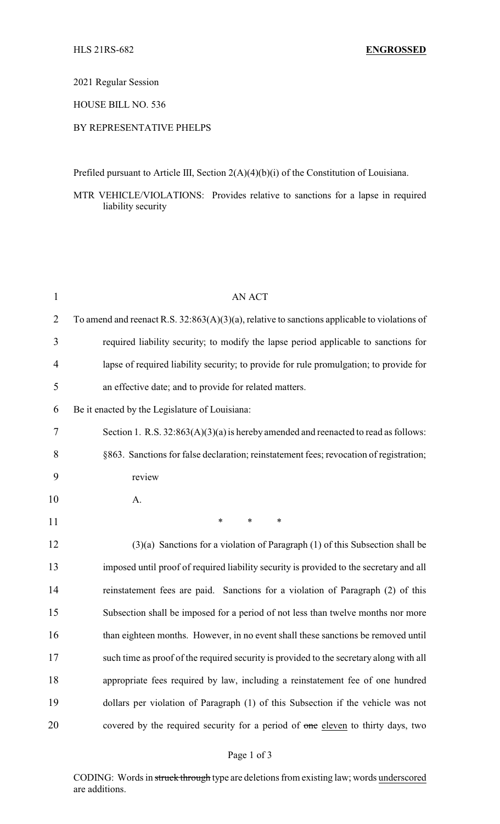2021 Regular Session

HOUSE BILL NO. 536

## BY REPRESENTATIVE PHELPS

Prefiled pursuant to Article III, Section 2(A)(4)(b)(i) of the Constitution of Louisiana.

MTR VEHICLE/VIOLATIONS: Provides relative to sanctions for a lapse in required liability security

| $\mathbf{1}$   | <b>AN ACT</b>                                                                                   |
|----------------|-------------------------------------------------------------------------------------------------|
| $\overline{2}$ | To amend and reenact R.S. $32:863(A)(3)(a)$ , relative to sanctions applicable to violations of |
| 3              | required liability security; to modify the lapse period applicable to sanctions for             |
| 4              | lapse of required liability security; to provide for rule promulgation; to provide for          |
| 5              | an effective date; and to provide for related matters.                                          |
| 6              | Be it enacted by the Legislature of Louisiana:                                                  |
| 7              | Section 1. R.S. $32:863(A)(3)(a)$ is hereby amended and reenacted to read as follows:           |
| 8              | §863. Sanctions for false declaration; reinstatement fees; revocation of registration;          |
| 9              | review                                                                                          |
| 10             | A.                                                                                              |
| 11             | $\ast$<br>∗<br>∗                                                                                |
| 12             | $(3)(a)$ Sanctions for a violation of Paragraph $(1)$ of this Subsection shall be               |
| 13             | imposed until proof of required liability security is provided to the secretary and all         |
| 14             | reinstatement fees are paid. Sanctions for a violation of Paragraph (2) of this                 |
| 15             | Subsection shall be imposed for a period of not less than twelve months nor more                |
| 16             | than eighteen months. However, in no event shall these sanctions be removed until               |
| 17             | such time as proof of the required security is provided to the secretary along with all         |
| 18             | appropriate fees required by law, including a reinstatement fee of one hundred                  |
| 19             | dollars per violation of Paragraph (1) of this Subsection if the vehicle was not                |
| 20             | covered by the required security for a period of one eleven to thirty days, two                 |

CODING: Words in struck through type are deletions from existing law; words underscored are additions.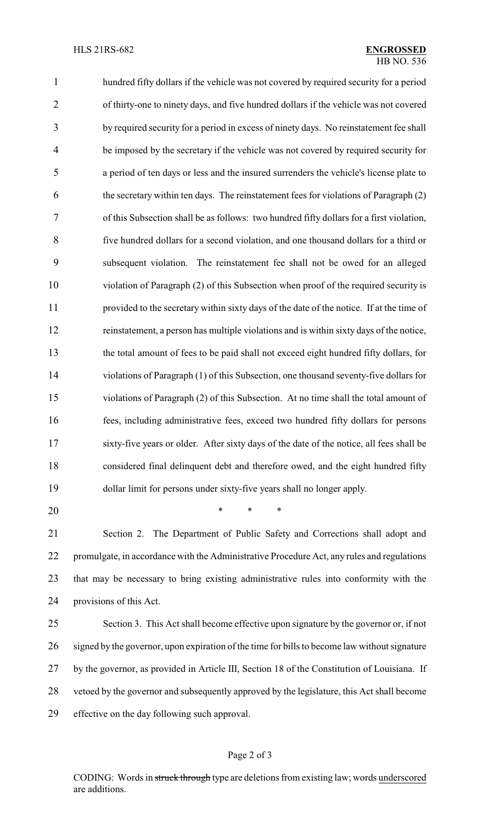hundred fifty dollars if the vehicle was not covered by required security for a period of thirty-one to ninety days, and five hundred dollars if the vehicle was not covered by required security for a period in excess of ninety days. No reinstatement fee shall be imposed by the secretary if the vehicle was not covered by required security for a period of ten days or less and the insured surrenders the vehicle's license plate to the secretary within ten days. The reinstatement fees for violations of Paragraph (2) of this Subsection shall be as follows: two hundred fifty dollars for a first violation, five hundred dollars for a second violation, and one thousand dollars for a third or subsequent violation. The reinstatement fee shall not be owed for an alleged violation of Paragraph (2) of this Subsection when proof of the required security is provided to the secretary within sixty days of the date of the notice. If at the time of reinstatement, a person has multiple violations and is within sixty days of the notice, the total amount of fees to be paid shall not exceed eight hundred fifty dollars, for violations of Paragraph (1) of this Subsection, one thousand seventy-five dollars for violations of Paragraph (2) of this Subsection. At no time shall the total amount of fees, including administrative fees, exceed two hundred fifty dollars for persons sixty-five years or older. After sixty days of the date of the notice, all fees shall be considered final delinquent debt and therefore owed, and the eight hundred fifty dollar limit for persons under sixty-five years shall no longer apply.

\* \* \*

 Section 2. The Department of Public Safety and Corrections shall adopt and promulgate, in accordance with the Administrative Procedure Act, any rules and regulations that may be necessary to bring existing administrative rules into conformity with the provisions of this Act.

 Section 3. This Act shall become effective upon signature by the governor or, if not signed by the governor, upon expiration of the time for bills to become law without signature by the governor, as provided in Article III, Section 18 of the Constitution of Louisiana. If vetoed by the governor and subsequently approved by the legislature, this Act shall become effective on the day following such approval.

## Page 2 of 3

CODING: Words in struck through type are deletions from existing law; words underscored are additions.